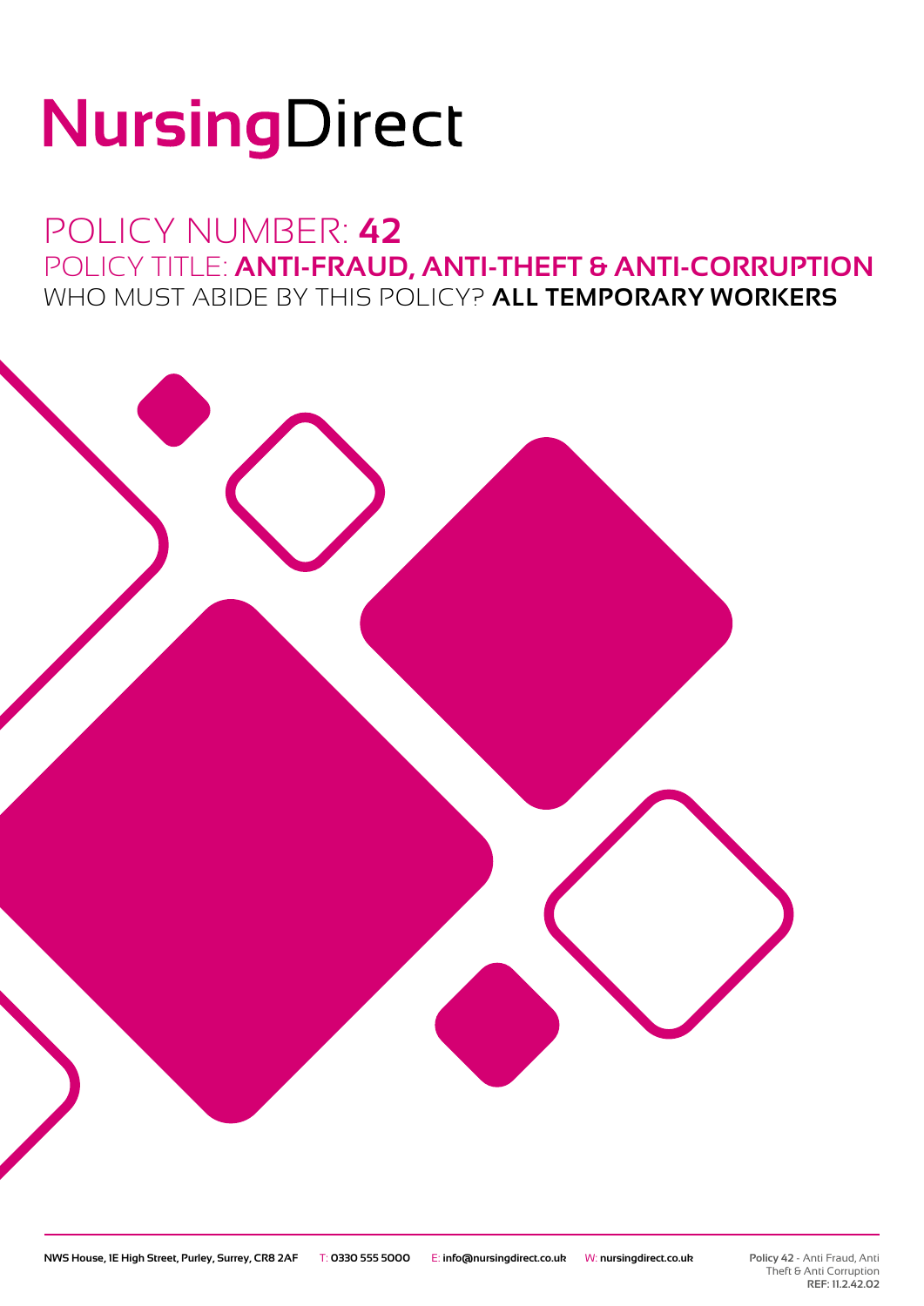# NursingDirect

## POLICY NUMBER: **42** POLICY TITLE: **ANTI-FRAUD, ANTI-THEFT & ANTI-CORRUPTION** WHO MUST ABIDE BY THIS POLICY? **ALL TEMPORARY WORKERS**

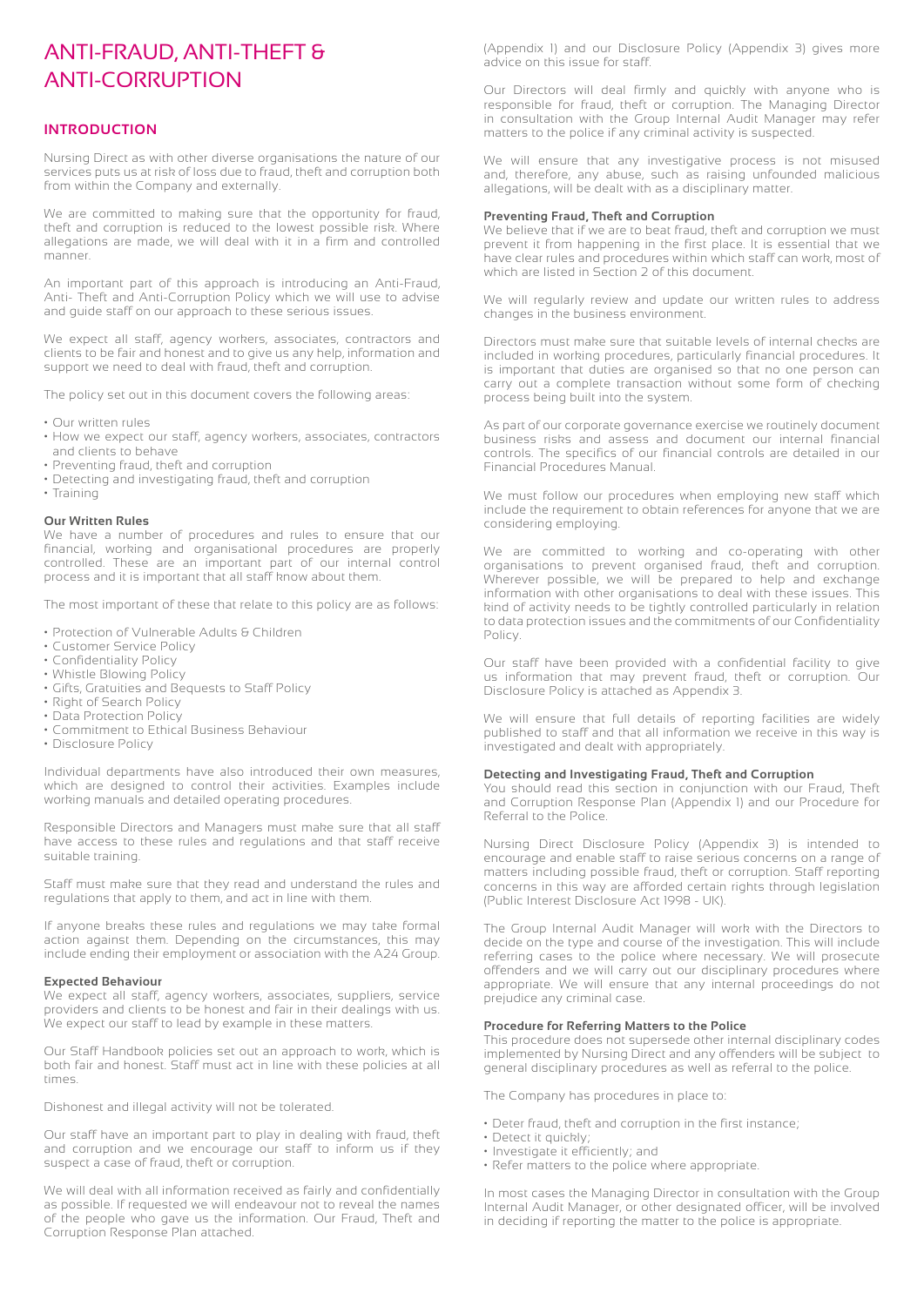### ANTI-FRAUD, ANTI-THEFT & ANTI-CORRUPTION

#### **INTRODUCTION**

Nursing Direct as with other diverse organisations the nature of our services puts us at risk of loss due to fraud, theft and corruption both from within the Company and externally.

We are committed to making sure that the opportunity for fraud, theft and corruption is reduced to the lowest possible risk. Where allegations are made, we will deal with it in a firm and controlled manner.

An important part of this approach is introducing an Anti-Fraud, Anti- Theft and Anti-Corruption Policy which we will use to advise and guide staff on our approach to these serious issues.

We expect all staff, agency workers, associates, contractors and clients to be fair and honest and to give us any help, information and support we need to deal with fraud, theft and corruption.

The policy set out in this document covers the following areas:

- Our written rules
- How we expect our staff, agency workers, associates, contractors and clients to behave
- Preventing fraud, theft and corruption
- Detecting and investigating fraud, theft and corruption
- Training

#### **Our Written Rules**

We have a number of procedures and rules to ensure that our financial, working and organisational procedures are properly controlled. These are an important part of our internal control process and it is important that all staff know about them.

The most important of these that relate to this policy are as follows:

- Protection of Vulnerable Adults & Children
- Customer Service Policy
- Confidentiality Policy
- Whistle Blowing Policy
- Gifts, Gratuities and Bequests to Staff Policy
- Right of Search Policy
- Data Protection Policy
- Commitment to Ethical Business Behaviour
- Disclosure Policy

Individual departments have also introduced their own measures, which are designed to control their activities. Examples include working manuals and detailed operating procedures.

Responsible Directors and Managers must make sure that all staff have access to these rules and regulations and that staff receive suitable training.

Staff must make sure that they read and understand the rules and regulations that apply to them, and act in line with them.

If anyone breaks these rules and regulations we may take formal action against them. Depending on the circumstances, this may include ending their employment or association with the A24 Group.

#### **Expected Behaviour**

We expect all staff, agency workers, associates, suppliers, service providers and clients to be honest and fair in their dealings with us. We expect our staff to lead by example in these matters.

Our Staff Handbook policies set out an approach to work, which is both fair and honest. Staff must act in line with these policies at all times.

Dishonest and illegal activity will not be tolerated.

Our staff have an important part to play in dealing with fraud, theft and corruption and we encourage our staff to inform us if they suspect a case of fraud, theft or corruption.

We will deal with all information received as fairly and confidentially as possible. If requested we will endeavour not to reveal the names of the people who gave us the information. Our Fraud, Theft and Corruption Response Plan attached.

(Appendix 1) and our Disclosure Policy (Appendix 3) gives more advice on this issue for staff.

Our Directors will deal firmly and quickly with anyone who is responsible for fraud, theft or corruption. The Managing Director in consultation with the Group Internal Audit Manager may refer matters to the police if any criminal activity is suspected.

We will ensure that any investigative process is not misused and, therefore, any abuse, such as raising unfounded malicious allegations, will be dealt with as a disciplinary matter.

#### **Preventing Fraud, Theft and Corruption**

We believe that if we are to beat fraud, theft and corruption we must prevent it from happening in the first place. It is essential that we have clear rules and procedures within which staff can work, most of which are listed in Section 2 of this document.

We will regularly review and update our written rules to address changes in the business environment.

Directors must make sure that suitable levels of internal checks are included in working procedures, particularly financial procedures. It is important that duties are organised so that no one person can carry out a complete transaction without some form of checking process being built into the system.

As part of our corporate governance exercise we routinely document business risks and assess and document our internal financial controls. The specifics of our financial controls are detailed in our Financial Procedures Manual.

We must follow our procedures when employing new staff which include the requirement to obtain references for anyone that we are considering employing.

We are committed to working and co-operating with other organisations to prevent organised fraud, theft and corruption. Wherever possible, we will be prepared to help and exchange information with other organisations to deal with these issues. This kind of activity needs to be tightly controlled particularly in relation to data protection issues and the commitments of our Confidentiality Policy.

Our staff have been provided with a confidential facility to give us information that may prevent fraud, theft or corruption. Our Disclosure Policy is attached as Appendix 3.

We will ensure that full details of reporting facilities are widely published to staff and that all information we receive in this way is investigated and dealt with appropriately.

#### **Detecting and Investigating Fraud, Theft and Corruption**

You should read this section in conjunction with our Fraud, Theft and Corruption Response Plan (Appendix 1) and our Procedure for Referral to the Police.

Nursing Direct Disclosure Policy (Appendix 3) is intended to encourage and enable staff to raise serious concerns on a range of matters including possible fraud, theft or corruption. Staff reporting concerns in this way are afforded certain rights through legislation (Public Interest Disclosure Act 1998 - UK).

The Group Internal Audit Manager will work with the Directors to decide on the type and course of the investigation. This will include referring cases to the police where necessary. We will prosecute offenders and we will carry out our disciplinary procedures where appropriate. We will ensure that any internal proceedings do not prejudice any criminal case.

#### **Procedure for Referring Matters to the Police**

This procedure does not supersede other internal disciplinary codes implemented by Nursing Direct and any offenders will be subject to general disciplinary procedures as well as referral to the police.

The Company has procedures in place to:

- Deter fraud, theft and corruption in the first instance;
- Detect it quickly;
- Investigate it efficiently; and
- Refer matters to the police where appropriate.

In most cases the Managing Director in consultation with the Group Internal Audit Manager, or other designated officer, will be involved in deciding if reporting the matter to the police is appropriate.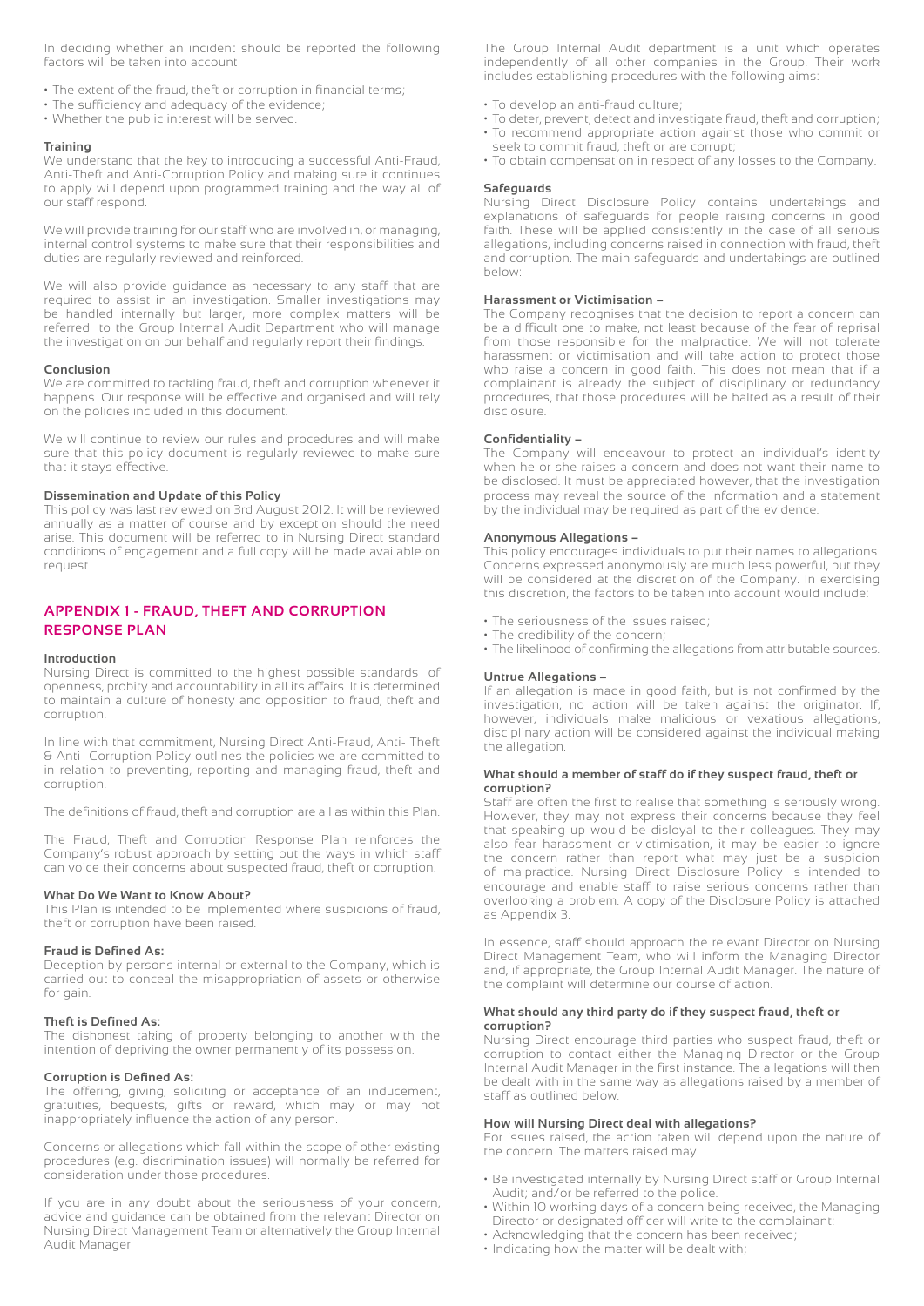In deciding whether an incident should be reported the following factors will be taken into account:

- The extent of the fraud, theft or corruption in financial terms;
- The sufficiency and adequacy of the evidence;
- Whether the public interest will be served.

#### **Training**

We understand that the key to introducing a successful Anti-Fraud, Anti-Theft and Anti-Corruption Policy and making sure it continues to apply will depend upon programmed training and the way all of our staff respond.

We will provide training for our staff who are involved in, or managing, internal control systems to make sure that their responsibilities and duties are regularly reviewed and reinforced.

We will also provide guidance as necessary to any staff that are required to assist in an investigation. Smaller investigations may be handled internally but larger, more complex matters will be referred to the Group Internal Audit Department who will manage the investigation on our behalf and regularly report their findings.

#### **Conclusion**

We are committed to tackling fraud, theft and corruption whenever it happens. Our response will be effective and organised and will rely on the policies included in this document.

We will continue to review our rules and procedures and will make sure that this policy document is regularly reviewed to make sure that it stays effective.

#### **Dissemination and Update of this Policy**

This policy was last reviewed on 3rd August 2012. It will be reviewed annually as a matter of course and by exception should the need arise. This document will be referred to in Nursing Direct standard conditions of engagement and a full copy will be made available on request.

#### **APPENDIX 1 - FRAUD, THEFT AND CORRUPTION RESPONSE PLAN**

#### **Introduction**

Nursing Direct is committed to the highest possible standards of openness, probity and accountability in all its affairs. It is determined to maintain a culture of honesty and opposition to fraud, theft and corruption.

In line with that commitment, Nursing Direct Anti-Fraud, Anti- Theft & Anti- Corruption Policy outlines the policies we are committed to in relation to preventing, reporting and managing fraud, theft and corruption.

The definitions of fraud, theft and corruption are all as within this Plan.

The Fraud, Theft and Corruption Response Plan reinforces the Company's robust approach by setting out the ways in which staff can voice their concerns about suspected fraud, theft or corruption.

#### **What Do We Want to Know About?**

This Plan is intended to be implemented where suspicions of fraud, theft or corruption have been raised.

#### **Fraud is Defined As:**

Deception by persons internal or external to the Company, which is carried out to conceal the misappropriation of assets or otherwise for gain.

#### **Theft is Defined As:**

The dishonest taking of property belonging to another with the intention of depriving the owner permanently of its possession.

#### **Corruption is Defined As:**

The offering, giving, soliciting or acceptance of an inducement, gratuities, bequests, gifts or reward, which may or may not inappropriately influence the action of any person.

Concerns or allegations which fall within the scope of other existing procedures (e.g. discrimination issues) will normally be referred for consideration under those procedures.

If you are in any doubt about the seriousness of your concern, advice and guidance can be obtained from the relevant Director on Nursing Direct Management Team or alternatively the Group Internal Audit Manager.

The Group Internal Audit department is a unit which operates independently of all other companies in the Group. Their work includes establishing procedures with the following aims:

- To develop an anti-fraud culture;
- To deter, prevent, detect and investigate fraud, theft and corruption;
- To recommend appropriate action against those who commit or seek to commit fraud, theft or are corrupt;
- To obtain compensation in respect of any losses to the Company.

#### **Safeguards**

Nursing Direct Disclosure Policy contains undertakings and explanations of safeguards for people raising concerns in good faith. These will be applied consistently in the case of all serious allegations, including concerns raised in connection with fraud, theft and corruption. The main safeguards and undertakings are outlined below:

#### **Harassment or Victimisation –**

The Company recognises that the decision to report a concern can be a difficult one to make, not least because of the fear of reprisal from those responsible for the malpractice. We will not tolerate harassment or victimisation and will take action to protect those who raise a concern in good faith. This does not mean that if a complainant is already the subject of disciplinary or redundancy procedures, that those procedures will be halted as a result of their disclosure.

#### **Confidentiality –**

The Company will endeavour to protect an individual's identity when he or she raises a concern and does not want their name to be disclosed. It must be appreciated however, that the investigation process may reveal the source of the information and a statement by the individual may be required as part of the evidence.

#### **Anonymous Allegations –**

This policy encourages individuals to put their names to allegations. Concerns expressed anonymously are much less powerful, but they will be considered at the discretion of the Company. In exercising this discretion, the factors to be taken into account would include:

- The seriousness of the issues raised;
- The credibility of the concern;
- The likelihood of confirming the allegations from attributable sources.

#### **Untrue Allegations –**

If an allegation is made in good faith, but is not confirmed by the investigation, no action will be taken against the originator. If, however, individuals make malicious or vexatious allegations, disciplinary action will be considered against the individual making the allegation.

#### **What should a member of staff do if they suspect fraud, theft or corruption?**

Staff are often the first to realise that something is seriously wrong. However, they may not express their concerns because they feel that speaking up would be disloyal to their colleagues. They may also fear harassment or victimisation, it may be easier to ignore the concern rather than report what may just be a suspicion of malpractice. Nursing Direct Disclosure Policy is intended to encourage and enable staff to raise serious concerns rather than overlooking a problem. A copy of the Disclosure Policy is attached as Appendix 3.

In essence, staff should approach the relevant Director on Nursing Direct Management Team, who will inform the Managing Director and, if appropriate, the Group Internal Audit Manager. The nature of the complaint will determine our course of action.

#### **What should any third party do if they suspect fraud, theft or corruption?**

Nursing Direct encourage third parties who suspect fraud, theft or corruption to contact either the Managing Director or the Group Internal Audit Manager in the first instance. The allegations will then be dealt with in the same way as allegations raised by a member of staff as outlined below.

#### **How will Nursing Direct deal with allegations?**

For issues raised, the action taken will depend upon the nature of the concern. The matters raised may:

- Be investigated internally by Nursing Direct staff or Group Internal Audit; and/or be referred to the police.
- Within 10 working days of a concern being received, the Managing Director or designated officer will write to the complainant:
- Acknowledging that the concern has been received;
- Indicating how the matter will be dealt with;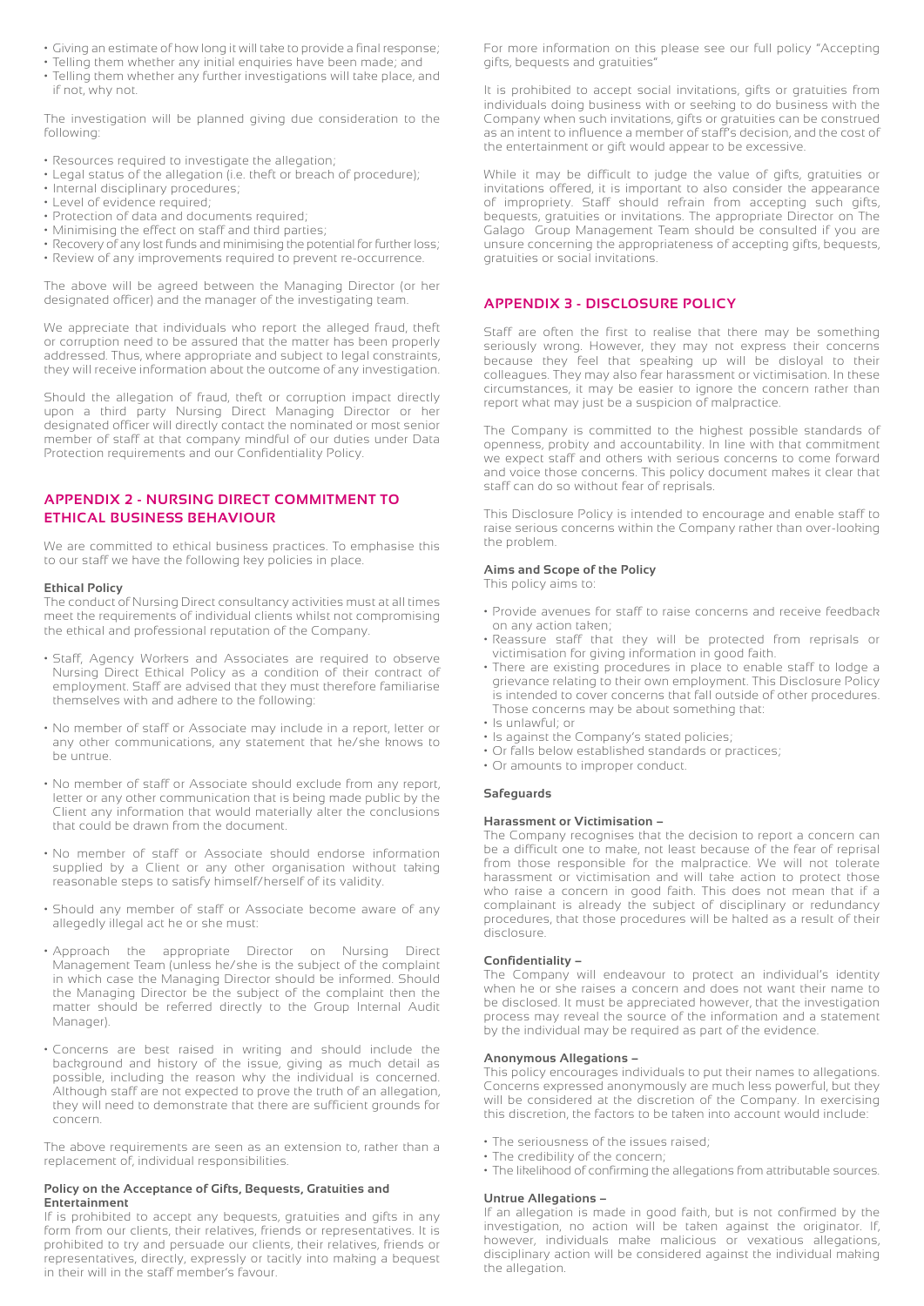- Giving an estimate of how long it will take to provide a final response;
- Telling them whether any initial enquiries have been made; and
- Telling them whether any further investigations will take place, and if not, why not.

The investigation will be planned giving due consideration to the following:

- Resources required to investigate the allegation;
- Legal status of the allegation (i.e. theft or breach of procedure);
- Internal disciplinary procedures;
- Level of evidence required;
- Protection of data and documents required;
- Minimising the effect on staff and third parties;
- Recovery of any lost funds and minimising the potential for further loss; • Review of any improvements required to prevent re-occurrence.

The above will be agreed between the Managing Director (or her designated officer) and the manager of the investigating team.

We appreciate that individuals who report the alleged fraud, theft or corruption need to be assured that the matter has been properly addressed. Thus, where appropriate and subject to legal constraints, they will receive information about the outcome of any investigation.

Should the allegation of fraud, theft or corruption impact directly upon a third party Nursing Direct Managing Director or her designated officer will directly contact the nominated or most senior member of staff at that company mindful of our duties under Data Protection requirements and our Confidentiality Policy.

#### **APPENDIX 2 - NURSING DIRECT COMMITMENT TO ETHICAL BUSINESS BEHAVIOUR**

We are committed to ethical business practices. To emphasise this to our staff we have the following key policies in place.

#### **Ethical Policy**

The conduct of Nursing Direct consultancy activities must at all times meet the requirements of individual clients whilst not compromising the ethical and professional reputation of the Company.

- Staff, Agency Workers and Associates are required to observe Nursing Direct Ethical Policy as a condition of their contract of employment. Staff are advised that they must therefore familiarise themselves with and adhere to the following:
- No member of staff or Associate may include in a report, letter or any other communications, any statement that he/she knows to be untrue.
- No member of staff or Associate should exclude from any report, letter or any other communication that is being made public by the Client any information that would materially alter the conclusions that could be drawn from the document.
- No member of staff or Associate should endorse information supplied by a Client or any other organisation without taking reasonable steps to satisfy himself/herself of its validity.
- Should any member of staff or Associate become aware of any allegedly illegal act he or she must:
- Approach the appropriate Director on Nursing Direct Management Team (unless he/she is the subject of the complaint in which case the Managing Director should be informed. Should the Managing Director be the subject of the complaint then the matter should be referred directly to the Group Internal Audit Manager).
- Concerns are best raised in writing and should include the background and history of the issue, giving as much detail as possible, including the reason why the individual is concerned. Although staff are not expected to prove the truth of an allegation, they will need to demonstrate that there are sufficient grounds for concern.

The above requirements are seen as an extension to, rather than a replacement of, individual responsibilities.

#### **Policy on the Acceptance of Gifts, Bequests, Gratuities and Entertainment**

If is prohibited to accept any bequests, gratuities and gifts in any form from our clients, their relatives, friends or representatives. It is prohibited to try and persuade our clients, their relatives, friends or representatives, directly, expressly or tacitly into making a bequest in their will in the staff member's favour.

For more information on this please see our full policy "Accepting gifts, bequests and gratuities"

It is prohibited to accept social invitations, gifts or gratuities from individuals doing business with or seeking to do business with the Company when such invitations, gifts or gratuities can be construed as an intent to influence a member of staff's decision, and the cost of the entertainment or gift would appear to be excessive.

While it may be difficult to judge the value of gifts, gratuities or invitations offered, it is important to also consider the appearance of impropriety. Staff should refrain from accepting such gifts, bequests, gratuities or invitations. The appropriate Director on The Galago Group Management Team should be consulted if you are unsure concerning the appropriateness of accepting gifts, bequests, gratuities or social invitations.

#### **APPENDIX 3 - DISCLOSURE POLICY**

Staff are often the first to realise that there may be something seriously wrong. However, they may not express their concerns because they feel that speaking up will be disloyal to their colleagues. They may also fear harassment or victimisation. In these circumstances, it may be easier to ignore the concern rather than report what may just be a suspicion of malpractice.

The Company is committed to the highest possible standards of openness, probity and accountability. In line with that commitment we expect staff and others with serious concerns to come forward and voice those concerns. This policy document makes it clear that staff can do so without fear of reprisals.

This Disclosure Policy is intended to encourage and enable staff to raise serious concerns within the Company rather than over-looking the problem.

#### **Aims and Scope of the Policy**

This policy aims to:

- Provide avenues for staff to raise concerns and receive feedback on any action taken;
- Reassure staff that they will be protected from reprisals or victimisation for giving information in good faith.
- There are existing procedures in place to enable staff to lodge a grievance relating to their own employment. This Disclosure Policy is intended to cover concerns that fall outside of other procedures. Those concerns may be about something that:
- Is unlawful; or
- Is against the Company's stated policies;
- Or falls below established standards or practices;
- Or amounts to improper conduct.

#### **Safeguards**

#### **Harassment or Victimisation –**

The Company recognises that the decision to report a concern can be a difficult one to make, not least because of the fear of reprisal from those responsible for the malpractice. We will not tolerate harassment or victimisation and will take action to protect those who raise a concern in good faith. This does not mean that if a complainant is already the subject of disciplinary or redundancy procedures, that those procedures will be halted as a result of their disclosure.

#### **Confidentiality –**

The Company will endeavour to protect an individual's identity when he or she raises a concern and does not want their name to be disclosed. It must be appreciated however, that the investigation process may reveal the source of the information and a statement by the individual may be required as part of the evidence.

#### **Anonymous Allegations –**

This policy encourages individuals to put their names to allegations. Concerns expressed anonymously are much less powerful, but they will be considered at the discretion of the Company. In exercising this discretion, the factors to be taken into account would include:

- The seriousness of the issues raised;
- The credibility of the concern;
- The likelihood of confirming the allegations from attributable sources.

#### **Untrue Allegations –**

If an allegation is made in good faith, but is not confirmed by the investigation, no action will be taken against the originator. If, however, individuals make malicious or vexatious allegations, disciplinary action will be considered against the individual making the allegation.